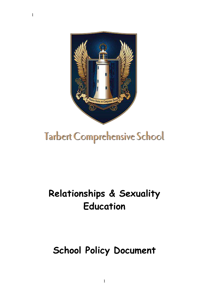

# **Tarbert Comprehensive School**

## **Relationships & Sexuality Education**

## **School Policy Document**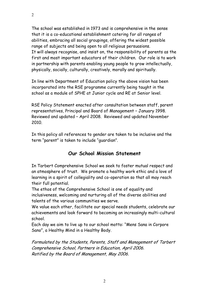The school was established in 1973 and is comprehensive in the sense that it is a co-educational establishment catering for all ranges of abilities, embracing all social groupings, offering the widest possible range of subjects and being open to all religious persuasions. It will always recognise, and insist on, the responsibility of parents as the first and most important educators of their children. Our role is to work in partnership with parents enabling young people to grow intellectually, physically, socially, culturally, creatively, morally and spiritually.

In line with Department of Education policy the above vision has been incorporated into the RSE programme currently being taught in the school as a module of SPHE at Junior cycle and RE at Senior level.

RSE Policy Statement enacted after consultation between staff, parent representatives, Principal and Board of Management – January 1998. Reviewed and updated – April 2008. Reviewed and updated November 2010.

In this policy all references to gender are taken to be inclusive and the term "parent" is taken to include "guardian".

#### **Our School Mission Statement**

In Tarbert Comprehensive School we seek to foster mutual respect and an atmosphere of trust. We promote a healthy work ethic and a love of learning in a spirit of collegiality and co-operation so that all may reach their full potential.

The ethos of the Comprehensive School is one of equality and inclusiveness, welcoming and nurturing all of the diverse abilities and talents of the various communities we serve.

We value each other, facilitate our special needs students, celebrate our achievements and look forward to becoming an increasingly multi-cultural school.

Each day we aim to live up to our school motto: "Mens Sana in Corpore Sano", a Healthy Mind in a Healthy Body.

Formulated by the Students, Parents, Staff and Management of Tarbert Comprehensive School, Partners in Education, April 2006. Ratified by the Board of Management, May 2006.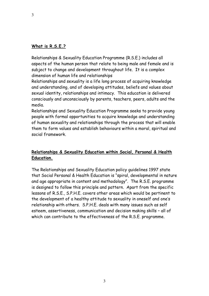#### **What is R.S.E.?**

Relationships & Sexuality Education Programme (R.S.E.) includes all aspects of the human person that relate to being male and female and is subject to change and development throughout life. It is a complex dimension of human life and relationships

Relationships and sexuality is a life long process of acquiring knowledge and understanding, and of developing attitudes, beliefs and values about sexual identity, relationships and intimacy. This education is delivered consciously and unconsciously by parents, teachers, peers, adults and the media.

Relationships and Sexuality Education Programme seeks to provide young people with formal opportunities to acquire knowledge and understanding of human sexuality and relationships through the process that will enable them to form values and establish behaviours within a moral, spiritual and social framework.

#### **Relationships & Sexuality Education within Social, Personal & Health Education.**

The Relationships and Sexuality Education policy guidelines 1997 state that Social Personal & Health Education is "spiral, developmental in nature and age appropriate in content and methodology". The R.S.E. programme is designed to follow this principle and pattern. Apart from the specific lessons of R.S.E., S.P.H.E. covers other areas which would be pertinent to the development of a healthy attitude to sexuality in oneself and one's relationship with others. S.P.H.E. deals with many issues such as self esteem, assertiveness, communication and decision making skills – all of which can contribute to the effectiveness of the R.S.E. programme.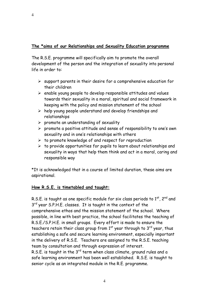#### **The \*aims of our Relationships and Sexuality Education programme**

The R.S.E. programme will specifically aim to promote the overall development of the person and the integration of sexuality into personal life in order to:

- $\triangleright$  support parents in their desire for a comprehensive education for their children
- $\triangleright$  enable young people to develop responsible attitudes and values towards their sexuality in a moral, spiritual and social framework in keeping with the policy and mission statement of the school
- $\triangleright$  help young people understand and develop friendships and relationships
- $\triangleright$  promote an understanding of sexuality
- $\triangleright$  promote a positive attitude and sense of responsibility to one's own sexuality and in one's relationships with others
- $\triangleright$  to promote knowledge of and respect for reproduction
- $\triangleright$  to provide opportunities for pupils to learn about relationships and sexuality in ways that help them think and act in a moral, caring and responsible way

\*It is acknowledged that in a course of limited duration, these aims are aspirational.

#### **How R.S.E. is timetabled and taught:**

R.S.E. is taught as one specific module for six class periods to  $1<sup>st</sup>$ ,  $2<sup>nd</sup>$  and 3<sup>rd</sup> year S.P.H.E. classes. It is taught in the context of the comprehensive ethos and the mission statement of the school. Where possible, in line with best practice, the school facilitates the teaching of R.S.E./S.P.H.E. in small groups. Every effort is made to ensure the teachers retain their class group from  $1<sup>st</sup>$  year through to  $3<sup>rd</sup>$  year, thus establishing a safe and secure learning environment, especially important in the delivery of R.S.E. Teachers are assigned to the R.S.E. teaching team by consultation and through expression of interest. R.S.E. is taught in the  $3<sup>rd</sup>$  term when class climate, ground rules and a safe learning environment has been well established. R.S.E. is taught to senior cycle as an integrated module in the R.E. programme.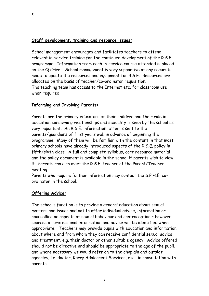#### **Staff development, training and resource issues:**

School management encourages and facilitates teachers to attend relevant in-service training for the continued development of the R.S.E. programme. Information from each in-service course attended is placed on the Q drive. School management is very supportive of any requests made to update the resources and equipment for R.S.E. Resources are allocated on the basis of teacher/co-ordinator requisition. The teaching team has access to the Internet etc. for classroom use when required.

#### **Informing and Involving Parents:**

Parents are the primary educators of their children and their role in education concerning relationships and sexuality is seen by the school as very important. An R.S.E. information letter is sent to the parents/guardians of first years well in advance of beginning the programme. Many of them will be familiar with the content in that most primary schools have already introduced aspects of the R.S.E. policy in fifth/sixth class. A full and complete syllabus, core resource material and the policy document is available in the school if parents wish to view it. Parents can also meet the R.S.E. teacher at the Parent/Teacher meeting.

Parents who require further information may contact the S.P.H.E. coordinator in the school.

#### **Offering Advice:**

The school's function is to provide a general education about sexual matters and issues and not to offer individual advice, information or counselling on aspects of sexual behaviour and contraception – however sources of professional information and advice will be identified when appropriate. Teachers may provide pupils with education and information about where and from whom they can receive confidential sexual advice and treatment, e.g. their doctor or other suitable agency. Advice offered should not be directive and should be appropriate to the age of the pupil, and where necessary we would refer on to the chaplain and outside agencies, i.e. doctor, Kerry Adolescent Services, etc., in consultation with parents.

5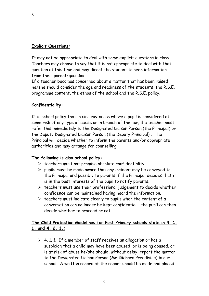#### **Explicit Questions:**

It may not be appropriate to deal with some explicit questions in class. Teachers may choose to say that it is not appropriate to deal with that question at this time and may direct the student to seek information from their parent/guardian.

If a teacher becomes concerned about a matter that has been raised he/she should consider the age and readiness of the students, the R.S.E. programme content, the ethos of the school and the R.S.E. policy.

#### **Confidentiality:**

It is school policy that in circumstances where a pupil is considered at some risk of any type of abuse or in breach of the law, the teacher must refer this immediately to the Designated Liaison Person (the Principal) or the Deputy Designated Liaison Person (the Deputy Principal) . The Principal will decide whether to inform the parents and/or appropriate authorities and may arrange for counselling.

#### **The following is also school policy:**

- $\triangleright$  teachers must not promise absolute confidentiality.
- $\triangleright$  pupils must be made aware that any incident may be conveyed to the Principal and possibly to parents if the Principal decides that it is in the best interests of the pupil to notify parents.
- $\triangleright$  teachers must use their professional judgement to decide whether confidence can be maintained having heard the information.
- $\triangleright$  teachers must indicate clearly to pupils when the content of a conversation can no longer be kept confidential – the pupil can then decide whether to proceed or not.

#### **The Child Protection Guidelines for Post Primary schools state in 4. 1. 1. and 4. 2. 1.:**

 $\geq 4$ . 1. 1. If a member of staff receives an allegation or has a suspicion that a child may have been abused, or is being abused, or is at risk of abuse he/she should, without delay, report the matter to the Designated Liaison Person (Mr. Richard Prendiville) in our school. A written record of the report should be made and placed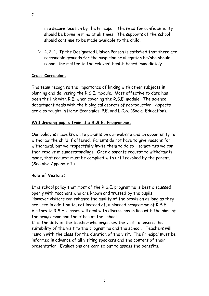in a secure location by the Principal. The need for confidentiality should be borne in mind at all times. The supports of the school should continue to be made available to the child.

 $\geq 4$ . 2. 1. If the Designated Liaison Person is satisfied that there are reasonable grounds for the suspicion or allegation he/she should report the matter to the relevant health board immediately.

#### **Cross Curricular:**

The team recognise the importance of linking with other subjects in planning and delivering the R.S.E. module. Most effective to date has been the link with R.E. when covering the R.S.E. module. The science department deals with the biological aspects of reproduction. Aspects are also taught in Home Economics, P.E. and L.C.A. (Social Education).

#### **Withdrawing pupils from the R.S.E. Programme:**

Our policy is made known to parents on our website and an opportunity to withdraw the child if offered. Parents do not have to give reasons for withdrawal, but we respectfully invite them to do so – sometimes we can then resolve misunderstandings. Once a parents request to withdraw is made, that request must be complied with until revoked by the parent. (See also Appendix 1.)

#### **Role of Visitors:**

It is school policy that most of the R.S.E. programme is best discussed openly with teachers who are known and trusted by the pupils. However visitors can enhance the quality of the provision as long as they are used in addition to, not instead of, a planned programme of R.S.E. Visitors to R.S.E. classes will deal with discussions in line with the aims of the programme and the ethos of the school.

It is the duty of the teacher who organises the visit to ensure the suitability of the visit to the programme and the school. Teachers will remain with the class for the duration of the visit. The Principal must be informed in advance of all visiting speakers and the content of their presentation. Evaluations are carried out to assess the benefits.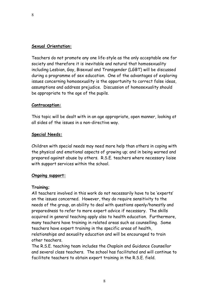#### **Sexual Orientation:**

Teachers do not promote any one life-style as the only acceptable one for society and therefore it is inevitable and natural that homosexuality including Lesbian, Gay, Bisexual and Transgender (LGBT) will be discussed during a programme of sex education. One of the advantages of exploring issues concerning homosexuality is the opportunity to correct false ideas, assumptions and address prejudice. Discussion of homosexuality should be appropriate to the age of the pupils.

#### **Contraception:**

This topic will be dealt with in an age appropriate, open manner, looking at all sides of the issues in a non-directive way.

#### **Special Needs:**

Children with special needs may need more help than others in coping with the physical and emotional aspects of growing up; and in being warned and prepared against abuse by others. R.S.E. teachers where necessary liaise with support services within the school.

#### **Ongoing support:**

#### **Training;**

All teachers involved in this work do not necessarily have to be 'experts' on the issues concerned. However, they do require sensitivity to the needs of the group, an ability to deal with questions openly/honestly and preparedness to refer to more expert advice if necessary. The skills acquired in general teaching apply also to health education. Furthermore, many teachers have training in related areas such as counselling. Some teachers have expert training in the specific areas of health, relationships and sexuality education and will be encouraged to train other teachers.

The R.S.E. teaching team includes the Chaplain and Guidance Counsellor and several class teachers. The school has facilitated and will continue to facilitate teachers to obtain expert training in the R.S.E. field.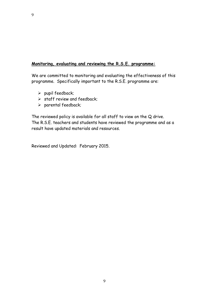#### **Monitoring, evaluating and reviewing the R.S.E. programme:**

We are committed to monitoring and evaluating the effectiveness of this programme. Specifically important to the R.S.E. programme are:

- $\triangleright$  pupil feedback;
- $\triangleright$  staff review and feedback;
- $\triangleright$  parental feedback;

The reviewed policy is available for all staff to view on the Q drive. The R.S.E. teachers and students have reviewed the programme and as a result have updated materials and resources.

Reviewed and Updated: February 2015.